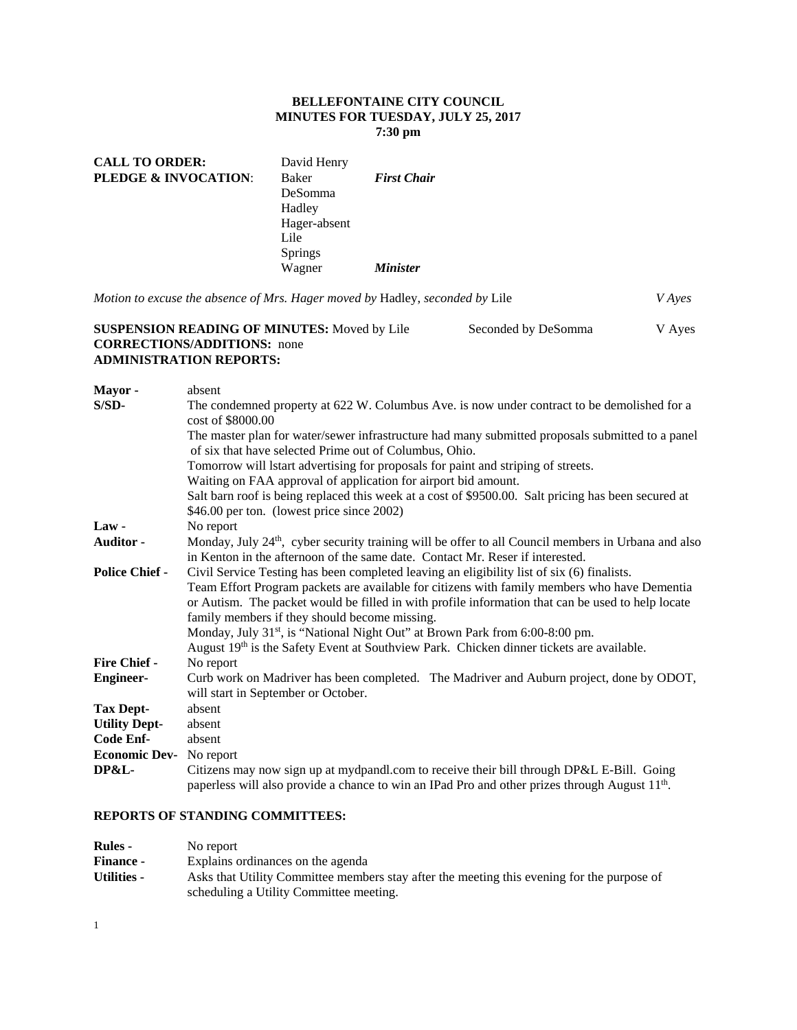### **BELLEFONTAINE CITY COUNCIL MINUTES FOR TUESDAY, JULY 25, 2017 7:30 pm**

| <b>CALL TO ORDER:</b>           | David Henry    |                        |
|---------------------------------|----------------|------------------------|
| <b>PLEDGE &amp; INVOCATION:</b> | <b>Baker</b>   | <b>First Chair</b>     |
|                                 | DeSomma        |                        |
|                                 | Hadley         |                        |
|                                 | Hager-absent   |                        |
|                                 | Lile           |                        |
|                                 | <b>Springs</b> |                        |
|                                 | Wagner         | <i><b>Minister</b></i> |
|                                 |                |                        |

*Motion to excuse the absence of Mrs. Hager moved by* Hadley, *seconded by* Lile *V Ayes* 

#### **SUSPENSION READING OF MINUTES:** Moved by Lile Seconded by DeSomma V Ayes **CORRECTIONS/ADDITIONS:** none **ADMINISTRATION REPORTS:**

| Mayor -                        | absent                                                                                                                                                                                           |
|--------------------------------|--------------------------------------------------------------------------------------------------------------------------------------------------------------------------------------------------|
| $S/SD-$                        | The condemned property at 622 W. Columbus Ave. is now under contract to be demolished for a                                                                                                      |
|                                | cost of \$8000.00                                                                                                                                                                                |
|                                | The master plan for water/sewer infrastructure had many submitted proposals submitted to a panel<br>of six that have selected Prime out of Columbus, Ohio.                                       |
|                                | Tomorrow will lstart advertising for proposals for paint and striping of streets.                                                                                                                |
|                                | Waiting on FAA approval of application for airport bid amount.                                                                                                                                   |
|                                | Salt barn roof is being replaced this week at a cost of \$9500.00. Salt pricing has been secured at                                                                                              |
|                                | \$46.00 per ton. (lowest price since 2002)                                                                                                                                                       |
| Law-                           | No report                                                                                                                                                                                        |
| <b>Auditor -</b>               | Monday, July 24 <sup>th</sup> , cyber security training will be offer to all Council members in Urbana and also<br>in Kenton in the afternoon of the same date. Contact Mr. Reser if interested. |
| <b>Police Chief -</b>          | Civil Service Testing has been completed leaving an eligibility list of six (6) finalists.                                                                                                       |
|                                | Team Effort Program packets are available for citizens with family members who have Dementia                                                                                                     |
|                                | or Autism. The packet would be filled in with profile information that can be used to help locate                                                                                                |
|                                | family members if they should become missing.                                                                                                                                                    |
|                                | Monday, July 31st, is "National Night Out" at Brown Park from 6:00-8:00 pm.                                                                                                                      |
|                                | August 19th is the Safety Event at Southview Park. Chicken dinner tickets are available.                                                                                                         |
| <b>Fire Chief -</b>            | No report                                                                                                                                                                                        |
| <b>Engineer-</b>               | Curb work on Madriver has been completed. The Madriver and Auburn project, done by ODOT,                                                                                                         |
|                                | will start in September or October.                                                                                                                                                              |
| <b>Tax Dept-</b>               | absent                                                                                                                                                                                           |
| <b>Utility Dept-</b>           | absent                                                                                                                                                                                           |
| <b>Code Enf-</b>               | absent                                                                                                                                                                                           |
| <b>Economic Dev-</b> No report |                                                                                                                                                                                                  |
| DP&L-                          | Citizens may now sign up at mydpandl.com to receive their bill through DP&L E-Bill. Going                                                                                                        |
|                                | paperless will also provide a chance to win an IPad Pro and other prizes through August 11 <sup>th</sup> .                                                                                       |

# **REPORTS OF STANDING COMMITTEES:**

| <b>Rules -</b>   | No report                                                                                                                             |
|------------------|---------------------------------------------------------------------------------------------------------------------------------------|
| <b>Finance -</b> | Explains ordinances on the agenda                                                                                                     |
| Utilities -      | Asks that Utility Committee members stay after the meeting this evening for the purpose of<br>scheduling a Utility Committee meeting. |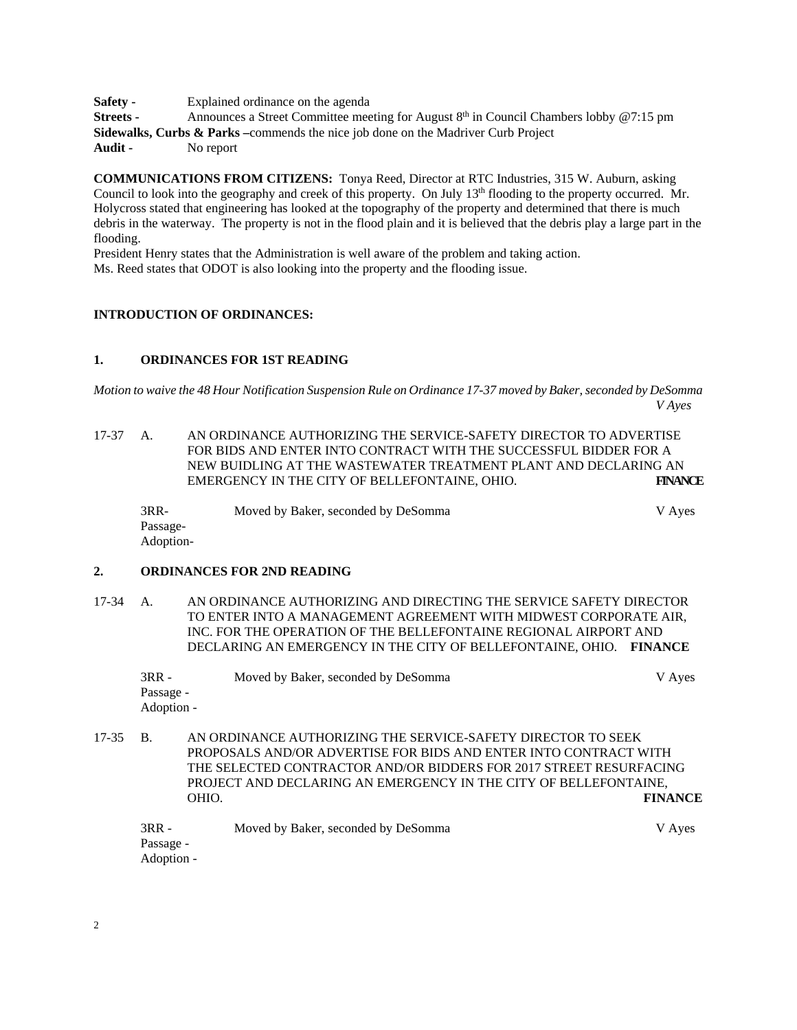**Safety -** Explained ordinance on the agenda **Streets -** Announces a Street Committee meeting for August 8<sup>th</sup> in Council Chambers lobby @7:15 pm **Sidewalks, Curbs & Parks –**commends the nice job done on the Madriver Curb Project **Audit -** No report

**COMMUNICATIONS FROM CITIZENS:** Tonya Reed, Director at RTC Industries, 315 W. Auburn, asking Council to look into the geography and creek of this property. On July 13<sup>th</sup> flooding to the property occurred. Mr. Holycross stated that engineering has looked at the topography of the property and determined that there is much debris in the waterway. The property is not in the flood plain and it is believed that the debris play a large part in the flooding.

President Henry states that the Administration is well aware of the problem and taking action. Ms. Reed states that ODOT is also looking into the property and the flooding issue.

# **INTRODUCTION OF ORDINANCES:**

#### **1. ORDINANCES FOR 1ST READING**

*Motion to waive the 48 Hour Notification Suspension Rule on Ordinance 17-37 moved by Baker, seconded by DeSomma V Ayes* 

17-37 A. AN ORDINANCE AUTHORIZING THE SERVICE-SAFETY DIRECTOR TO ADVERTISE FOR BIDS AND ENTER INTO CONTRACT WITH THE SUCCESSFUL BIDDER FOR A NEW BUIDLING AT THE WASTEWATER TREATMENT PLANT AND DECLARING AN EMERGENCY IN THE CITY OF BELLEFONTAINE, OHIO. **FINANCE** 

| $3RR-$    | Moved by Baker, seconded by DeSomma | V Ayes |
|-----------|-------------------------------------|--------|
| Passage-  |                                     |        |
| Adoption- |                                     |        |

## **2. ORDINANCES FOR 2ND READING**

17-34 A. AN ORDINANCE AUTHORIZING AND DIRECTING THE SERVICE SAFETY DIRECTOR TO ENTER INTO A MANAGEMENT AGREEMENT WITH MIDWEST CORPORATE AIR, INC. FOR THE OPERATION OF THE BELLEFONTAINE REGIONAL AIRPORT AND DECLARING AN EMERGENCY IN THE CITY OF BELLEFONTAINE, OHIO. **FINANCE** 

| $3RR -$    | Moved by Baker, seconded by DeSomma | V Ayes |
|------------|-------------------------------------|--------|
| Passage -  |                                     |        |
| Adoption - |                                     |        |

17-35 B. AN ORDINANCE AUTHORIZING THE SERVICE-SAFETY DIRECTOR TO SEEK PROPOSALS AND/OR ADVERTISE FOR BIDS AND ENTER INTO CONTRACT WITH THE SELECTED CONTRACTOR AND/OR BIDDERS FOR 2017 STREET RESURFACING PROJECT AND DECLARING AN EMERGENCY IN THE CITY OF BELLEFONTAINE, OHIO. **FINANCE**

| $3RR -$    | Moved by Baker, seconded by DeSomma | V Ayes |
|------------|-------------------------------------|--------|
| Passage -  |                                     |        |
| Adoption - |                                     |        |